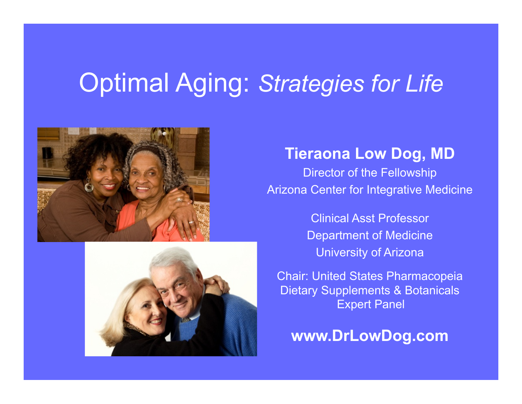## Optimal Aging: *Strategies for Life*





## **Tieraona Low Dog, MD**

Director of the Fellowship Arizona Center for Integrative Medicine

> Clinical Asst Professor Department of Medicine University of Arizona

Chair: United States Pharmacopeia Dietary Supplements & Botanicals Expert Panel

**www.DrLowDog.com**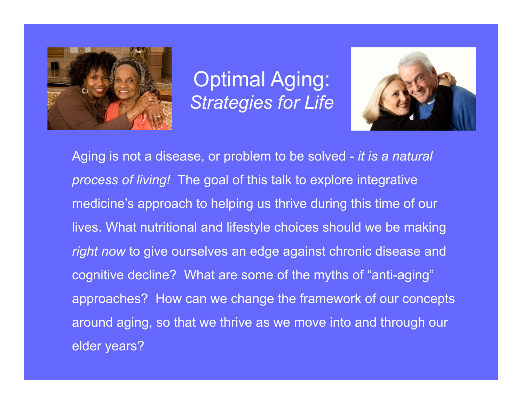

Optimal Aging: *Strategies for Life* 



Aging is not a disease, or problem to be solved - *it is a natural process of living!* The goal of this talk to explore integrative medicine's approach to helping us thrive during this time of our lives. What nutritional and lifestyle choices should we be making *right now* to give ourselves an edge against chronic disease and cognitive decline? What are some of the myths of "anti-aging" approaches? How can we change the framework of our concepts around aging, so that we thrive as we move into and through our elder years?